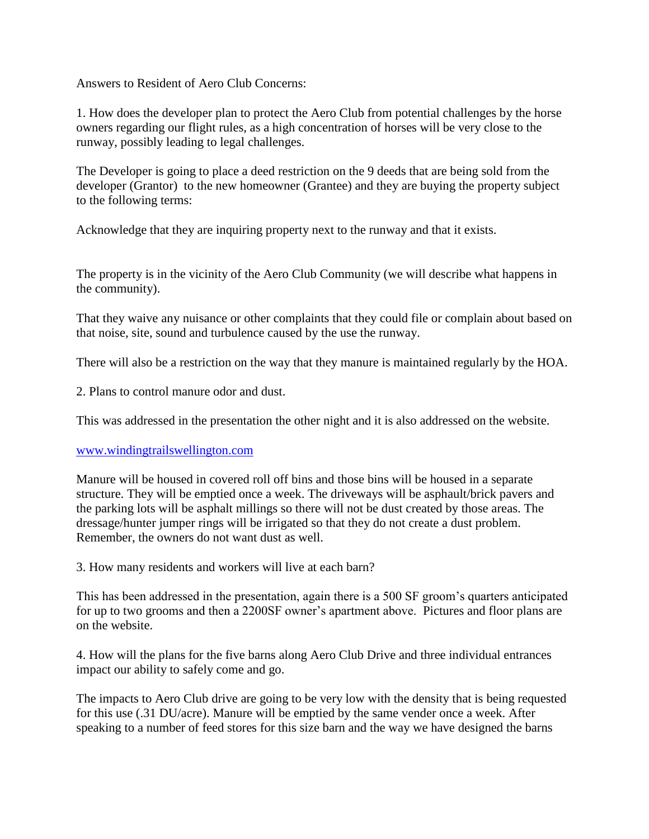Answers to Resident of Aero Club Concerns:

1. How does the developer plan to protect the Aero Club from potential challenges by the horse owners regarding our flight rules, as a high concentration of horses will be very close to the runway, possibly leading to legal challenges.

The Developer is going to place a deed restriction on the 9 deeds that are being sold from the developer (Grantor) to the new homeowner (Grantee) and they are buying the property subject to the following terms:

Acknowledge that they are inquiring property next to the runway and that it exists.

The property is in the vicinity of the Aero Club Community (we will describe what happens in the community).

That they waive any nuisance or other complaints that they could file or complain about based on that noise, site, sound and turbulence caused by the use the runway.

There will also be a restriction on the way that they manure is maintained regularly by the HOA.

2. Plans to control manure odor and dust.

This was addressed in the presentation the other night and it is also addressed on the website.

## [www.windingtrailswellington.com](http://www.windingtrailswellington.com/)

Manure will be housed in covered roll off bins and those bins will be housed in a separate structure. They will be emptied once a week. The driveways will be asphault/brick pavers and the parking lots will be asphalt millings so there will not be dust created by those areas. The dressage/hunter jumper rings will be irrigated so that they do not create a dust problem. Remember, the owners do not want dust as well.

3. How many residents and workers will live at each barn?

This has been addressed in the presentation, again there is a 500 SF groom's quarters anticipated for up to two grooms and then a 2200SF owner's apartment above. Pictures and floor plans are on the website.

4. How will the plans for the five barns along Aero Club Drive and three individual entrances impact our ability to safely come and go.

The impacts to Aero Club drive are going to be very low with the density that is being requested for this use (.31 DU/acre). Manure will be emptied by the same vender once a week. After speaking to a number of feed stores for this size barn and the way we have designed the barns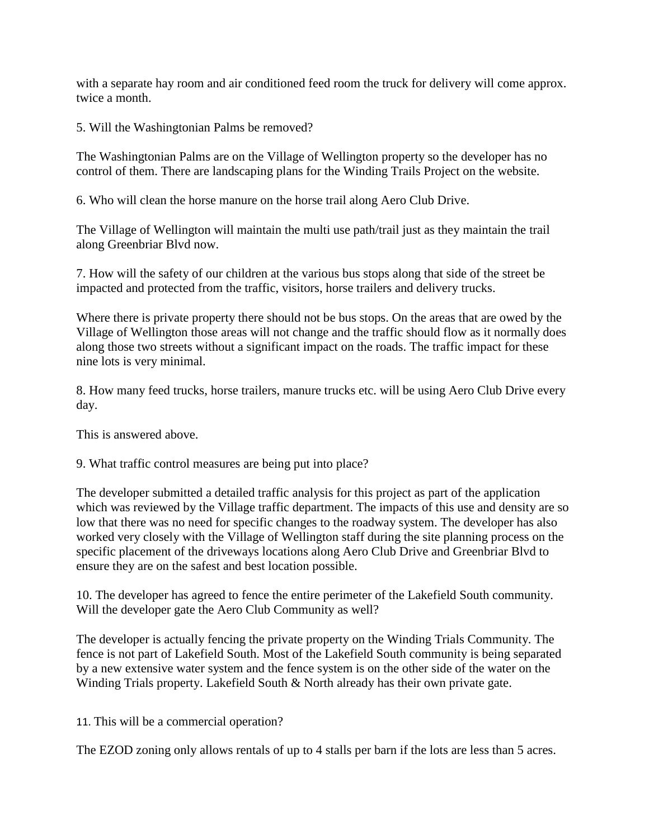with a separate hay room and air conditioned feed room the truck for delivery will come approx. twice a month.

5. Will the Washingtonian Palms be removed?

The Washingtonian Palms are on the Village of Wellington property so the developer has no control of them. There are landscaping plans for the Winding Trails Project on the website.

6. Who will clean the horse manure on the horse trail along Aero Club Drive.

The Village of Wellington will maintain the multi use path/trail just as they maintain the trail along Greenbriar Blvd now.

7. How will the safety of our children at the various bus stops along that side of the street be impacted and protected from the traffic, visitors, horse trailers and delivery trucks.

Where there is private property there should not be bus stops. On the areas that are owed by the Village of Wellington those areas will not change and the traffic should flow as it normally does along those two streets without a significant impact on the roads. The traffic impact for these nine lots is very minimal.

8. How many feed trucks, horse trailers, manure trucks etc. will be using Aero Club Drive every day.

This is answered above.

9. What traffic control measures are being put into place?

The developer submitted a detailed traffic analysis for this project as part of the application which was reviewed by the Village traffic department. The impacts of this use and density are so low that there was no need for specific changes to the roadway system. The developer has also worked very closely with the Village of Wellington staff during the site planning process on the specific placement of the driveways locations along Aero Club Drive and Greenbriar Blvd to ensure they are on the safest and best location possible.

10. The developer has agreed to fence the entire perimeter of the Lakefield South community. Will the developer gate the Aero Club Community as well?

The developer is actually fencing the private property on the Winding Trials Community. The fence is not part of Lakefield South. Most of the Lakefield South community is being separated by a new extensive water system and the fence system is on the other side of the water on the Winding Trials property. Lakefield South & North already has their own private gate.

11. This will be a commercial operation?

The EZOD zoning only allows rentals of up to 4 stalls per barn if the lots are less than 5 acres.